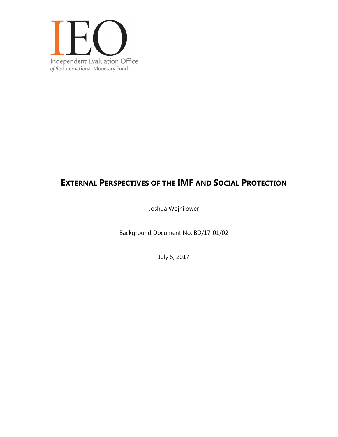

# **EXTERNAL PERSPECTIVES OF THE IMF AND SOCIAL PROTECTION**

Joshua Wojnilower

Background Document No. BD/17-01/02

July 5, 2017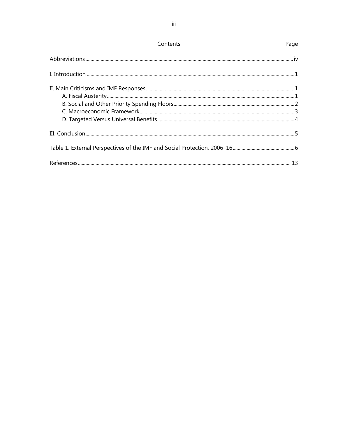| Contents | Page |
|----------|------|
|          |      |
|          |      |
|          |      |
|          |      |
|          |      |
|          |      |
|          |      |
|          |      |
|          |      |
|          |      |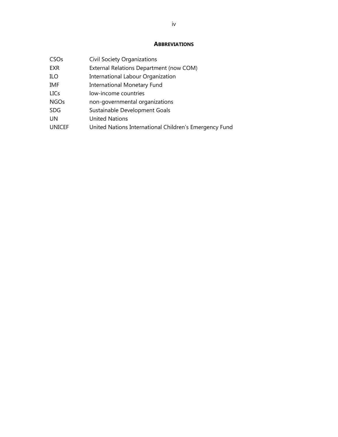### **ABBREVIATIONS**

| <b>Civil Society Organizations</b>                     |
|--------------------------------------------------------|
| External Relations Department (now COM)                |
| <b>International Labour Organization</b>               |
| <b>International Monetary Fund</b>                     |
| low-income countries                                   |
| non-governmental organizations                         |
| Sustainable Development Goals                          |
| <b>United Nations</b>                                  |
| United Nations International Children's Emergency Fund |
|                                                        |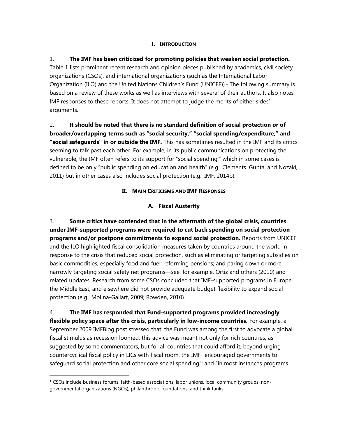### **I. INTRODUCTION**

# 1. **The IMF has been criticized for promoting policies that weaken social protection.** Table 1 lists prominent recent research and opinion pieces published by academics, civil society organizations (CSOs), and international organizations (such as the International Labor Organization (ILO) and the United Nations Children's Fund (UNICEF)).1 The following summary is based on a review of these works as well as interviews with several of their authors. It also notes IMF responses to these reports. It does not attempt to judge the merits of either sides' arguments.

# 2. **It should be noted that there is no standard definition of social protection or of broader/overlapping terms such as "social security," "social spending/expenditure," and "social safeguards" in or outside the IMF.** This has sometimes resulted in the IMF and its critics seeming to talk past each other. For example, in its public communications on protecting the vulnerable, the IMF often refers to its support for "social spending," which in some cases is defined to be only "public spending on education and health" (e.g., Clements. Gupta, and Nozaki, 2011) but in other cases also includes social protection (e.g., IMF, 2014b).

# **II. MAIN CRITICISMS AND IMF RESPONSES**

# **A. Fiscal Austerity**

3. **Some critics have contended that in the aftermath of the global crisis, countries under IMF-supported programs were required to cut back spending on social protection programs and/or postpone commitments to expand social protection.** Reports from UNICEF and the ILO highlighted fiscal consolidation measures taken by countries around the world in response to the crisis that reduced social protection, such as eliminating or targeting subsidies on basic commodities, especially food and fuel; reforming pensions; and paring down or more narrowly targeting social safety net programs—see, for example, Ortiz and others (2010) and related updates. Research from some CSOs concluded that IMF-supported programs in Europe, the Middle East, and elsewhere did not provide adequate budget flexibility to expand social protection (e.g., Molina-Gallart, 2009; Rowden, 2010).

4. **The IMF has responded that Fund-supported programs provided increasingly flexible policy space after the crisis, particularly in low-income countries.** For example, a September 2009 IMFBlog post stressed that: the Fund was among the first to advocate a global fiscal stimulus as recession loomed; this advice was meant not only for rich countries, as suggested by some commentators, but for all countries that could afford it; beyond urging countercyclical fiscal policy in LICs with fiscal room, the IMF "encouraged governments to safeguard social protection and other core social spending"; and "in most instances programs

 $\overline{a}$ 

 $1$  CSOs include business forums, faith-based associations, labor unions, local community groups, nongovernmental organizations (NGOs), philanthropic foundations, and think tanks.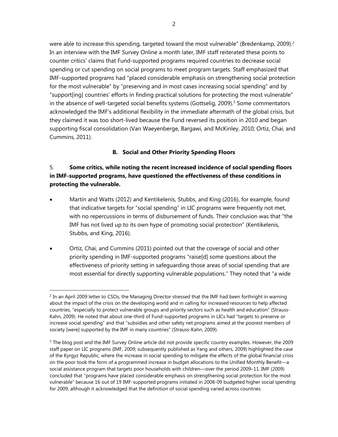were able to increase this spending, targeted toward the most vulnerable" (Bredenkamp, 2009).<sup>2</sup> In an interview with the IMF Survey Online a month later, IMF staff reiterated these points to counter critics' claims that Fund-supported programs required countries to decrease social spending or cut spending on social programs to meet program targets. Staff emphasized that IMF-supported programs had "placed considerable emphasis on strengthening social protection for the most vulnerable" by "preserving and in most cases increasing social spending" and by "support[ing] countries' efforts in finding practical solutions for protecting the most vulnerable" in the absence of well-targeted social benefits systems (Gottselig, 2009).<sup>3</sup> Some commentators acknowledged the IMF's additional flexibility in the immediate aftermath of the global crisis, but they claimed it was too short-lived because the Fund reversed its position in 2010 and began supporting fiscal consolidation (Van Waeyenberge, Bargawi, and McKinley, 2010; Ortiz, Chai, and Cummins, 2011).

### **B. Social and Other Priority Spending Floors**

# 5. **Some critics, while noting the recent increased incidence of social spending floors in IMF-supported programs, have questioned the effectiveness of these conditions in protecting the vulnerable.**

- Martin and Watts (2012) and Kentikelenis, Stubbs, and King (2016), for example, found that indicative targets for "social spending" in LIC programs were frequently not met, with no repercussions in terms of disbursement of funds. Their conclusion was that "the IMF has not lived up to its own hype of promoting social protection" (Kentikelenis, Stubbs, and King, 2016).
- Ortiz, Chai, and Cummins (2011) pointed out that the coverage of social and other priority spending in IMF-supported programs "raise[d] some questions about the effectiveness of priority setting in safeguarding those areas of social spending that are most essential for directly supporting vulnerable populations." They noted that "a wide

1

<sup>&</sup>lt;sup>2</sup> In an April 2009 letter to CSOs, the Managing Director stressed that the IMF had been forthright in warning about the impact of the crisis on the developing world and in calling for increased resources to help affected countries, "especially to protect vulnerable groups and priority sectors such as health and education" (Strauss-Kahn, 2009). He noted that about one-third of Fund-supported programs in LICs had "targets to preserve or increase social spending" and that "subsidies and other safety net programs aimed at the poorest members of society [were] supported by the IMF in many countries" (Strauss-Kahn, 2009).

<sup>&</sup>lt;sup>3</sup> The blog post and the IMF Survey Online article did not provide specific country examples. However, the 2009 staff paper on LIC programs (IMF, 2009; subsequently published as Yang and others, 2009) highlighted the case of the Kyrgyz Republic, where the increase in social spending to mitigate the effects of the global financial crisis on the poor took the form of a programmed increase in budget allocations to the Unified Monthly Benefit—a social assistance program that targets poor households with children—over the period 2009–11. IMF (2009) concluded that "programs have placed considerable emphasis on strengthening social protection for the most vulnerable" because 16 out of 19 IMF-supported programs initiated in 2008-09 budgeted higher social spending for 2009, although it acknowledged that the definition of social spending varied across countries.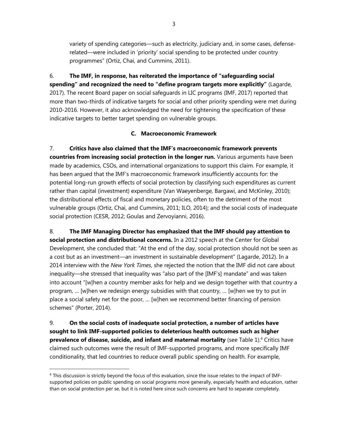variety of spending categories—such as electricity, judiciary and, in some cases, defenserelated—were included in 'priority' social spending to be protected under country programmes" (Ortiz, Chai, and Cummins, 2011).

6. **The IMF, in response, has reiterated the importance of "safeguarding social spending" and recognized the need to "define program targets more explicitly"** (Lagarde, 2017). The recent Board paper on social safeguards in LIC programs (IMF, 2017) reported that more than two-thirds of indicative targets for social and other priority spending were met during 2010-2016. However, it also acknowledged the need for tightening the specification of these indicative targets to better target spending on vulnerable groups.

# **C. Macroeconomic Framework**

7. **Critics have also claimed that the IMF's macroeconomic framework prevents countries from increasing social protection in the longer run.** Various arguments have been made by academics, CSOs, and international organizations to support this claim. For example, it has been argued that the IMF's macroeconomic framework insufficiently accounts for: the potential long-run growth effects of social protection by classifying such expenditures as current rather than capital (investment) expenditure (Van Waeyenberge, Bargawi, and McKinley, 2010); the distributional effects of fiscal and monetary policies, often to the detriment of the most vulnerable groups (Ortiz, Chai, and Cummins, 2011; ILO, 2014); and the social costs of inadequate social protection (CESR, 2012; Goulas and Zervoyianni, 2016).

8. **The IMF Managing Director has emphasized that the IMF should pay attention to social protection and distributional concerns.** In a 2012 speech at the Center for Global Development, she concluded that: "At the end of the day, social protection should not be seen as a cost but as an investment—an investment in sustainable development" (Lagarde, 2012). In a 2014 interview with the *New York Times*, she rejected the notion that the IMF did not care about inequality—she stressed that inequality was "also part of the [IMF's] mandate" and was taken into account "[w]hen a country member asks for help and we design together with that country a program, … [w]hen we redesign energy subsidies with that country, … [w]hen we try to put in place a social safety net for the poor, … [w]hen we recommend better financing of pension schemes" (Porter, 2014).

9. **On the social costs of inadequate social protection, a number of articles have sought to link IMF-supported policies to deleterious health outcomes such as higher prevalence of disease, suicide, and infant and maternal mortality** (see Table 1).<sup>4</sup> Critics have claimed such outcomes were the result of IMF-supported programs, and more specifically IMF conditionality, that led countries to reduce overall public spending on health. For example,

-

<sup>&</sup>lt;sup>4</sup> This discussion is strictly beyond the focus of this evaluation, since the issue relates to the impact of IMFsupported policies on public spending on social programs more generally, especially health and education, rather than on social protection per se, but it is noted here since such concerns are hard to separate completely.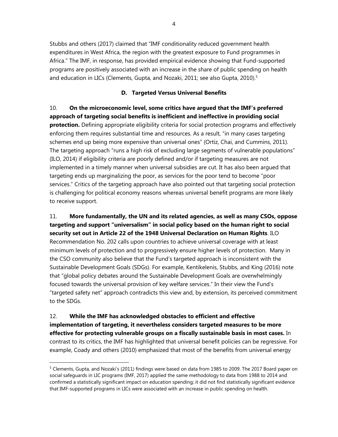Stubbs and others (2017) claimed that "IMF conditionality reduced government health expenditures in West Africa, the region with the greatest exposure to Fund programmes in Africa." The IMF, in response, has provided empirical evidence showing that Fund-supported programs are positively associated with an increase in the share of public spending on health and education in LICs (Clements, Gupta, and Nozaki, 2011; see also Gupta, 2010).<sup>5</sup>

### **D. Targeted Versus Universal Benefits**

10. **On the microeconomic level, some critics have argued that the IMF's preferred approach of targeting social benefits is inefficient and ineffective in providing social protection.** Defining appropriate eligibility criteria for social protection programs and effectively enforcing them requires substantial time and resources. As a result, "in many cases targeting schemes end up being more expensive than universal ones" (Ortiz, Chai, and Cummins, 2011). The targeting approach "runs a high risk of excluding large segments of vulnerable populations" (ILO, 2014) if eligibility criteria are poorly defined and/or if targeting measures are not implemented in a timely manner when universal subsidies are cut. It has also been argued that targeting ends up marginalizing the poor, as services for the poor tend to become "poor services." Critics of the targeting approach have also pointed out that targeting social protection is challenging for political economy reasons whereas universal benefit programs are more likely to receive support.

11. **More fundamentally, the UN and its related agencies, as well as many CSOs, oppose targeting and support "universalism" in social policy based on the human right to social security set out in Article 22 of the 1948 Universal Declaration on Human Rights**. ILO Recommendation No. 202 calls upon countries to achieve universal coverage with at least minimum levels of protection and to progressively ensure higher levels of protection. Many in the CSO community also believe that the Fund's targeted approach is inconsistent with the Sustainable Development Goals (SDGs). For example, Kentikelenis, Stubbs, and King (2016) note that "global policy debates around the Sustainable Development Goals are overwhelmingly focused towards the universal provision of key welfare services." In their view the Fund's "targeted safety net" approach contradicts this view and, by extension, its perceived commitment to the SDGs.

12. **While the IMF has acknowledged obstacles to efficient and effective implementation of targeting, it nevertheless considers targeted measures to be more effective for protecting vulnerable groups on a fiscally sustainable basis in most cases.** In contrast to its critics, the IMF has highlighted that universal benefit policies can be regressive. For example, Coady and others (2010) emphasized that most of the benefits from universal energy

 $\overline{a}$ 

4

<sup>&</sup>lt;sup>5</sup> Clements, Gupta, and Nozaki's (2011) findings were based on data from 1985 to 2009. The 2017 Board paper on social safeguards in LIC programs (IMF, 2017) applied the same methodology to data from 1988 to 2014 and confirmed a statistically significant impact on education spending; it did not find statistically significant evidence that IMF-supported programs in LICs were associated with an increase in public spending on health.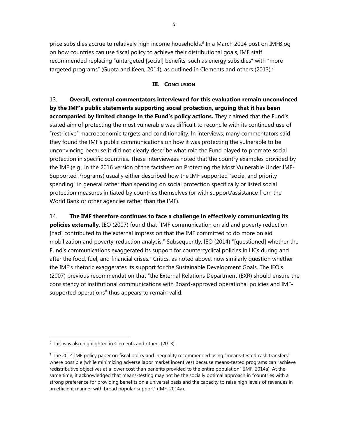price subsidies accrue to relatively high income households.<sup>6</sup> In a March 2014 post on IMFBlog on how countries can use fiscal policy to achieve their distributional goals, IMF staff recommended replacing "untargeted [social] benefits, such as energy subsidies" with "more targeted programs" (Gupta and Keen, 2014), as outlined in Clements and others (2013).<sup>7</sup>

### **III. CONCLUSION**

13. **Overall, external commentators interviewed for this evaluation remain unconvinced by the IMF's public statements supporting social protection, arguing that it has been accompanied by limited change in the Fund's policy actions.** They claimed that the Fund's stated aim of protecting the most vulnerable was difficult to reconcile with its continued use of "restrictive" macroeconomic targets and conditionality. In interviews, many commentators said they found the IMF's public communications on how it was protecting the vulnerable to be unconvincing because it did not clearly describe what role the Fund played to promote social protection in specific countries. These interviewees noted that the country examples provided by the IMF (e.g., in the 2016 version of the factsheet on Protecting the Most Vulnerable Under IMF-Supported Programs) usually either described how the IMF supported "social and priority spending" in general rather than spending on social protection specifically or listed social protection measures initiated by countries themselves (or with support/assistance from the World Bank or other agencies rather than the IMF).

14. **The IMF therefore continues to face a challenge in effectively communicating its policies externally.** IEO (2007) found that "IMF communication on aid and poverty reduction [had] contributed to the external impression that the IMF committed to do more on aid mobilization and poverty-reduction analysis." Subsequently, IEO (2014) "[questioned] whether the Fund's communications exaggerated its support for countercyclical policies in LICs during and after the food, fuel, and financial crises." Critics, as noted above, now similarly question whether the IMF's rhetoric exaggerates its support for the Sustainable Development Goals. The IEO's (2007) previous recommendation that "the External Relations Department (EXR) should ensure the consistency of institutional communications with Board-approved operational policies and IMFsupported operations" thus appears to remain valid.

1

<sup>6</sup> This was also highlighted in Clements and others (2013).

 $<sup>7</sup>$  The 2014 IMF policy paper on fiscal policy and inequality recommended using "means-tested cash transfers"</sup> where possible (while minimizing adverse labor market incentives) because means-tested programs can "achieve redistributive objectives at a lower cost than benefits provided to the entire population" (IMF, 2014a). At the same time, it acknowledged that means-testing may not be the socially optimal approach in "countries with a strong preference for providing benefits on a universal basis and the capacity to raise high levels of revenues in an efficient manner with broad popular support" (IMF, 2014a).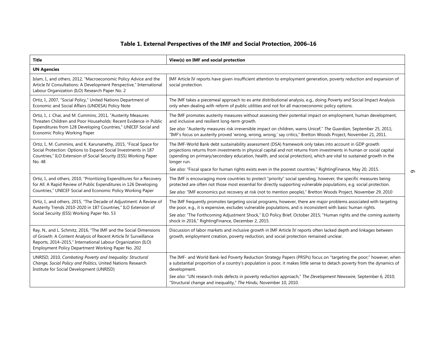|                                                                                                                                                                                                                                                            | Table 1. External Perspectives of the IMF and Social Protection, 2006-16                                                                                                                                                                                                                                                                                               |
|------------------------------------------------------------------------------------------------------------------------------------------------------------------------------------------------------------------------------------------------------------|------------------------------------------------------------------------------------------------------------------------------------------------------------------------------------------------------------------------------------------------------------------------------------------------------------------------------------------------------------------------|
| <b>Title</b>                                                                                                                                                                                                                                               | View(s) on IMF and social protection                                                                                                                                                                                                                                                                                                                                   |
| <b>UN Agencies</b>                                                                                                                                                                                                                                         |                                                                                                                                                                                                                                                                                                                                                                        |
| Islam, I., and others, 2012, "Macroeconomic Policy Advice and the<br>Article IV Consultations: A Development Perspective," International<br>Labour Organization (ILO) Research Paper No. 2                                                                 | IMF Article IV reports have given insufficient attention to employment generation, poverty reduction and expansion of<br>social protection.                                                                                                                                                                                                                            |
| Ortiz, I., 2007, "Social Policy," United Nations Department of<br>Economic and Social Affairs (UNDESA) Policy Note                                                                                                                                         | The IMF takes a piecemeal approach to ex ante distributional analysis, e.g., doing Poverty and Social Impact Analysis<br>only when dealing with reform of public utilities and not for all macroeconomic policy options.                                                                                                                                               |
| Ortiz, I., J. Chai, and M. Cummins, 2011, "Austerity Measures<br>Threaten Children and Poor Households: Recent Evidence in Public                                                                                                                          | The IMF promotes austerity measures without assessing their potential impact on employment, human development,<br>and inclusive and resilient long-term growth.                                                                                                                                                                                                        |
| Expenditures from 128 Developing Countries," UNICEF Social and<br>Economic Policy Working Paper                                                                                                                                                            | See also: "Austerity measures risk irreversible impact on children, warns Unicef," The Guardian, September 25, 2011;<br>"IMF's focus on austerity proved 'wrong, wrong, wrong,' say critics," Bretton Woods Project, November 21, 2011.                                                                                                                                |
| Ortiz, I., M. Cummins, and K. Karunanethy, 2015, "Fiscal Space for<br>Social Protection: Options to Expand Social Investments in 187<br>Countries," ILO Extension of Social Security (ESS) Working Paper<br>No. 48                                         | The IMF-World Bank debt sustainability assessment (DSA) framework only takes into account in GDP growth<br>projections returns from investments in physical capital and not returns from investments in human or social capital<br>(spending on primary/secondary education, health, and social protection), which are vital to sustained growth in the<br>longer run. |
|                                                                                                                                                                                                                                                            | See also: "Fiscal space for human rights exists even in the poorest countries," RightingFinance, May 20, 2015.                                                                                                                                                                                                                                                         |
| Ortiz, I., and others, 2010, "Prioritizing Expenditures for a Recovery<br>for All: A Rapid Review of Public Expenditures in 126 Developing<br>Countries," UNICEF Social and Economic Policy Working Paper                                                  | The IMF is encouraging more countries to protect "priority" social spending, however, the specific measures being<br>protected are often not those most essential for directly supporting vulnerable populations, e.g. social protection.<br>See also: "IMF economics put recovery at risk (not to mention people)," Bretton Woods Project, November 29, 2010          |
| Ortiz, I., and others, 2015, "The Decade of Adjustment: A Review of<br>Austerity Trends 2010-2020 in 187 Countries," ILO Extension of                                                                                                                      | The IMF frequently promotes targeting social programs, however, there are major problems associated with targeting<br>the poor, e.g., it is expensive, excludes vulnerable populations, and is inconsistent with basic human rights.                                                                                                                                   |
| Social Security (ESS) Working Paper No. 53                                                                                                                                                                                                                 | See also: "The Forthcoming Adjustment Shock," ILO Policy Brief, October 2015; "Human rights and the coming austerity<br>shock in 2016," RightingFinance, December 2, 2015.                                                                                                                                                                                             |
| Ray, N., and L. Schmitz, 2016, "The IMF and the Social Dimensions<br>of Growth: A Content Analysis of Recent Article IV Surveillance<br>Reports, 2014-2015," International Labour Organization (ILO)<br>Employment Policy Department Working Paper No. 202 | Discussion of labor markets and inclusive growth in IMF Article IV reports often lacked depth and linkages between<br>growth, employment creation, poverty reduction, and social protection remained unclear.                                                                                                                                                          |
| UNRISD, 2010, Combating Poverty and Inequality: Structural<br>Change, Social Policy and Politics, United Nations Research<br>Institute for Social Development (UNRISD)                                                                                     | The IMF- and World Bank-led Poverty Reduction Strategy Papers (PRSPs) focus on "targeting the poor;" however, when<br>a substantial proportion of a country's population is poor, it makes little sense to detach poverty from the dynamics of<br>development.                                                                                                         |
|                                                                                                                                                                                                                                                            | See also: "UN research rinds defects in poverty reduction approach," The Development Newswire, September 6, 2010;<br>"Structural change and inequality," The Hindu, November 10, 2010.                                                                                                                                                                                 |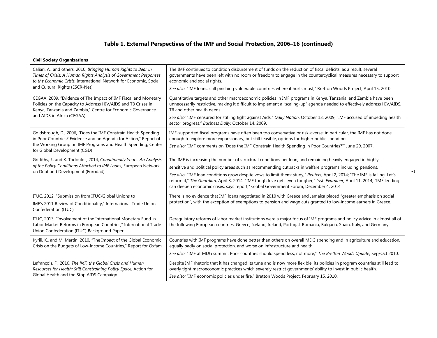| Table 1. External Perspectives of the IMF and Social Protection, 2006-16 (continued)                                                                                                                                                        |                                                                                                                                                                                                                                                                                                                                                                                                                                                                                                                                                                             |  |
|---------------------------------------------------------------------------------------------------------------------------------------------------------------------------------------------------------------------------------------------|-----------------------------------------------------------------------------------------------------------------------------------------------------------------------------------------------------------------------------------------------------------------------------------------------------------------------------------------------------------------------------------------------------------------------------------------------------------------------------------------------------------------------------------------------------------------------------|--|
| <b>Civil Society Organizations</b>                                                                                                                                                                                                          |                                                                                                                                                                                                                                                                                                                                                                                                                                                                                                                                                                             |  |
| Caliari, A., and others, 2010, Bringing Human Rights to Bear in<br>Times of Crisis: A Human Rights Analysis of Government Responses<br>to the Economic Crisis, International Network for Economic, Social<br>and Cultural Rights (ESCR-Net) | The IMF continues to condition disbursement of funds on the reduction of fiscal deficits; as a result, several<br>governments have been left with no room or freedom to engage in the countercyclical measures necessary to support<br>economic and social rights.<br>See also: "IMF loans: still pinching vulnerable countries where it hurts most," Bretton Woods Project, April 15, 2010.                                                                                                                                                                                |  |
| CEGAA, 2009, "Evidence of The Impact of IMF Fiscal and Monetary<br>Policies on the Capacity to Address HIV/AIDS and TB Crises in<br>Kenya, Tanzania and Zambia," Centre for Economic Governance<br>and AIDS in Africa (CEGAA)               | Quantitative targets and other macroeconomic policies in IMF programs in Kenya, Tanzania, and Zambia have been<br>unnecessarily restrictive, making it difficult to implement a "scaling-up" agenda needed to effectively address HIV/AIDS,<br>TB and other health needs.<br>See also: "IMF censured for stifling fight against Aids," Daily Nation, October 13, 2009; "IMF accused of impeding health<br>sector progress," Business Daily, October 14, 2009.                                                                                                               |  |
| Goldsbrough, D., 2006, "Does the IMF Constrain Health Spending<br>in Poor Countries? Evidence and an Agenda for Action," Report of<br>the Working Group on IMF Programs and Health Spending, Center<br>for Global Development (CGD)         | IMF-supported fiscal programs have often been too conservative or risk-averse; in particular, the IMF has not done<br>enough to explore more expansionary, but still feasible, options for higher public spending.<br>See also: "IMF comments on 'Does the IMF Constrain Health Spending in Poor Countries?'" June 29, 2007.                                                                                                                                                                                                                                                |  |
| Griffiths, J., and K. Todoulos, 2014, Conditionally Yours: An Analysis<br>of the Policy Conditions Attached to IMF Loans, European Network<br>on Debt and Development (Eurodad)                                                             | The IMF is increasing the number of structural conditions per loan, and remaining heavily engaged in highly<br>sensitive and political policy areas such as recommending cutbacks in welfare programs including pensions.<br>See also: "IMF loan conditions grow despite vows to limit them: study," Reuters, April 2, 2014; "The IMF is failing. Let's<br>reform it," The Guardian, April 3, 2014; "IMF tough love gets even tougher," Irish Examiner, April 11, 2014; "IMF lending<br>can deepen economic crises, says report," Global Government Forum, December 4, 2014 |  |
| ITUC, 2012, "Submission from ITUC/Global Unions to<br>IMF's 2011 Review of Conditionality," International Trade Union<br>Confederation (ITUC)                                                                                               | There is no evidence that IMF loans negotiated in 2010 with Greece and Jamaica placed "greater emphasis on social<br>protection", with the exception of exemptions to pension and wage cuts granted to low-income earners in Greece.                                                                                                                                                                                                                                                                                                                                        |  |
| ITUC, 2013, "Involvement of the International Monetary Fund in<br>Labor Market Reforms in European Countries," International Trade<br>Union Confederation (ITUC) Background Paper                                                           | Deregulatory reforms of labor market institutions were a major focus of IMF programs and policy advice in almost all of<br>the following European countries: Greece, Iceland, Ireland, Portugal, Romania, Bulgaria, Spain, Italy, and Germany.                                                                                                                                                                                                                                                                                                                              |  |
| Kyrili, K., and M. Martin, 2010, "The Impact of the Global Economic<br>Crisis on the Budgets of Low-Income Countries," Report for Oxfam                                                                                                     | Countries with IMF programs have done better than others on overall MDG spending and in agriculture and education,<br>equally badly on social protection, and worse on infrastructure and health.<br>See also: "IMF at MDG summit: Poor countries should spend less, not more," The Bretton Woods Update, Sep/Oct 2010.                                                                                                                                                                                                                                                     |  |
| Lefrançois, F., 2010, The IMF, the Global Crisis and Human<br>Resources for Health: Still Constraining Policy Space, Action for<br>Global Health and the Stop AIDS Campaign                                                                 | Despite IMF rhetoric that it has changed its tune and is now more flexible, its policies in program countries still lead to<br>overly tight macroeconomic practices which severely restrict governments' ability to invest in public health.<br>See also: "IMF economic policies under fire," Bretton Woods Project, February 15, 2010.                                                                                                                                                                                                                                     |  |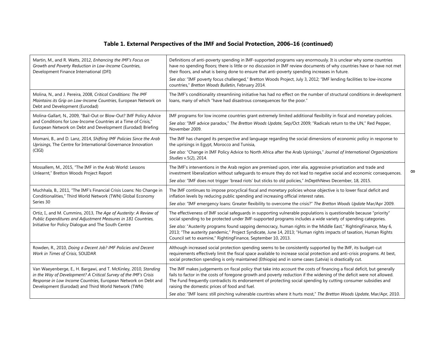|                                                                                                                                                                                                                                                               | Table 1. External Perspectives of the IMF and Social Protection, 2006-16 (continued)                                                                                                                                                                                                                                                                                                                                                                                                                                                              |
|---------------------------------------------------------------------------------------------------------------------------------------------------------------------------------------------------------------------------------------------------------------|---------------------------------------------------------------------------------------------------------------------------------------------------------------------------------------------------------------------------------------------------------------------------------------------------------------------------------------------------------------------------------------------------------------------------------------------------------------------------------------------------------------------------------------------------|
| Martin, M., and R. Watts, 2012, Enhancing the IMF's Focus on<br>Growth and Poverty Reduction in Low-Income Countries,<br>Development Finance International (DFI)                                                                                              | Definitions of anti-poverty spending in IMF-supported programs vary enormously. It is unclear why some countries<br>have no spending floors; there is little or no discussion in IMF review documents of why countries have or have not met<br>their floors, and what is being done to ensure that anti-poverty spending increases in future.<br>See also: "IMF poverty focus challenged," Bretton Woods Project, July 3, 2012; "IMF lending facilities to low-income<br>countries," Bretton Woods Bulletin, February 2014.                       |
| Molina, N., and J. Pereira, 2008, Critical Conditions: The IMF<br>Maintains its Grip on Low-Income Countries, European Network on<br>Debt and Development (Eurodad)                                                                                           | The IMF's conditionality streamlining initiative has had no effect on the number of structural conditions in development<br>loans, many of which "have had disastrous consequences for the poor."                                                                                                                                                                                                                                                                                                                                                 |
| Molina-Gallart, N., 2009, "Bail-Out or Blow-Out? IMF Policy Advice<br>and Conditions for Low-Income Countries at a Time of Crisis,"<br>European Network on Debt and Development (Eurodad) Briefing                                                            | IMF programs for low income countries grant extremely limited additional flexibility in fiscal and monetary policies.<br>See also: "IMF advice paradox," The Bretton Woods Update, Sep/Oct 2009; "Radicals return to the UN," Red Pepper,<br>November 2009.                                                                                                                                                                                                                                                                                       |
| Momani, B., and D. Lanz, 2014, Shifting IMF Policies Since the Arab<br>Uprisings, The Centre for International Governance Innovation<br>(CIGI)                                                                                                                | The IMF has changed its perspective and language regarding the social dimensions of economic policy in response to<br>the uprisings in Egypt, Morocco and Tunisia,<br>See also: "Change in IMF Policy Advice to North Africa after the Arab Uprisings," Journal of International Organizations<br>Studies v.5(2), 2014.                                                                                                                                                                                                                           |
| Mossallem, M., 2015, "The IMF in the Arab World: Lessons<br>Unlearnt," Bretton Woods Project Report                                                                                                                                                           | The IMF's interventions in the Arab region are premised upon, inter alia, aggressive privatization and trade and<br>investment liberalization without safeguards to ensure they do not lead to negative social and economic consequences.<br>See also: "IMF does not trigger 'bread riots' but sticks to old policies," InDepthNews December, 18, 2015.                                                                                                                                                                                           |
| Muchhala, B., 2011, "The IMF's Financial Crisis Loans: No Change in<br>Conditionalities," Third World Network (TWN) Global Economy<br>Series 30                                                                                                               | The IMF continues to impose procyclical fiscal and monetary policies whose objective is to lower fiscal deficit and<br>inflation levels by reducing public spending and increasing official interest rates.<br>See also: "IMF emergency loans: Greater flexibility to overcome the crisis?" The Bretton Woods Update Mar/Apr 2009.                                                                                                                                                                                                                |
| Ortiz, I., and M. Cummins, 2013, The Age of Austerity: A Review of<br>Public Expenditures and Adjustment Measures in 181 Countries,<br>Initiative for Policy Dialogue and The South Centre                                                                    | The effectiveness of IMF social safeguards in supporting vulnerable populations is questionable because "priority"<br>social spending to be protected under IMF-supported programs includes a wide variety of spending categories.<br>See also: "Austerity programs found sapping democracy, human rights in the Middle East," RightingFinance, May 6,<br>2013; "The austerity pandemic," Project Syndicate, June 14, 2013; "Human rights impacts of taxation, Human Rights<br>Council set to examine," RightingFinance, September 10, 2013.      |
| Rowden, R., 2010, Doing a Decent Job? IMF Policies and Decent<br>Work in Times of Crisis, SOLIDAR                                                                                                                                                             | Although increased social protection spending seems to be consistently supported by the IMF, its budget-cut<br>requirements effectively limit the fiscal space available to increase social protection and anti-crisis programs. At best,<br>social protection spending is only maintained (Ethiopia) and in some cases (Latvia) is drastically cut.                                                                                                                                                                                              |
| Van Waeyenberge, E., H. Bargawi, and T. McKinley, 2010, Standing<br>in the Way of Development? A Critical Survey of the IMF's Crisis<br>Response in Low Income Countries, European Network on Debt and<br>Development (Eurodad) and Third World Network (TWN) | The IMF makes judgements on fiscal policy that take into account the costs of financing a fiscal deficit, but generally<br>fails to factor in the costs of foregone growth and poverty reduction if the widening of the deficit were not allowed.<br>The Fund frequently contradicts its endorsement of protecting social spending by cutting consumer subsidies and<br>raising the domestic prices of food and fuel.<br>See also: "IMF loans: still pinching vulnerable countries where it hurts most," The Bretton Woods Update, Mar/Apr, 2010. |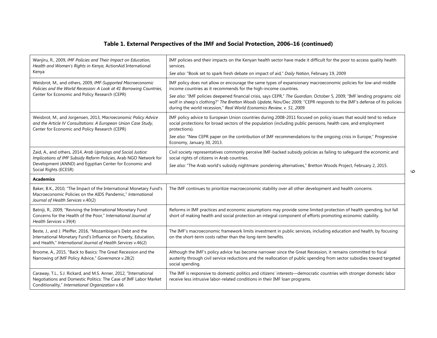|                                                                                                                                                                                                                         | Table 1. External Perspectives of the IMF and Social Protection, 2006-16 (continued)                                                                                                                                                                                                                                                                                                                                                                                                                                |   |
|-------------------------------------------------------------------------------------------------------------------------------------------------------------------------------------------------------------------------|---------------------------------------------------------------------------------------------------------------------------------------------------------------------------------------------------------------------------------------------------------------------------------------------------------------------------------------------------------------------------------------------------------------------------------------------------------------------------------------------------------------------|---|
| Wanjiru, R., 2009, IMF Policies and Their Impact on Education,<br>Health and Women's Rights in Kenya, ActionAid International<br>Kenya                                                                                  | IMF policies and their impacts on the Kenyan health sector have made it difficult for the poor to access quality health<br>services.<br>See also: "Book set to spark fresh debate on impact of aid," Daily Nation, February 19, 2009                                                                                                                                                                                                                                                                                |   |
| Weisbrot, M., and others, 2009, IMF-Supported Macroeconomic<br>Policies and the World Recession: A Look at 41 Borrowing Countries,<br>Center for Economic and Policy Research (CEPR)                                    | IMF policy does not allow or encourage the same types of expansionary macroeconomic policies for low-and-middle<br>income countries as it recommends for the high-income countries.<br>See also: "IMF policies deepened financial crisis, says CEPR," The Guardian, October 5, 2009; "IMF lending programs: old<br>wolf in sheep's clothing?" The Bretton Woods Update, Nov/Dec 2009; "CEPR responds to the IMF's defense of its policies<br>during the world recession," Real World Economics Review, v. 51, 2009. |   |
| Weisbrot, M., and Jorgensen, 2013, Macroeconomic Policy Advice<br>and the Article IV Consultations: A European Union Case Study,<br>Center for Economic and Policy Research (CEPR)                                      | IMF policy advice to European Union countries during 2008-2011 focused on policy issues that would tend to reduce<br>social protections for broad sectors of the population (including public pensions, health care, and employment<br>protections).<br>See also: "New CEPR paper on the contribution of IMF recommendations to the ongoing crisis in Europe," Progressive<br>Economy, January 30, 2013.                                                                                                            |   |
| Zaid, A., and others, 2014, Arab Uprisings and Social Justice:<br>Implications of IMF Subsidy Reform Policies, Arab NGO Network for<br>Development (ANND) and Egyptian Center for Economic and<br>Social Rights (ECESR) | Civil society representatives commonly perceive IMF-backed subsidy policies as failing to safeguard the economic and<br>social rights of citizens in Arab countries.<br>See also: "The Arab world's subsidy nightmare: pondering alternatives," Bretton Woods Project, February 2, 2015.                                                                                                                                                                                                                            | ဖ |
| <b>Academics</b>                                                                                                                                                                                                        |                                                                                                                                                                                                                                                                                                                                                                                                                                                                                                                     |   |
| Baker, B.K., 2010, "The Impact of the International Monetary Fund's<br>Macroeconomic Policies on the AIDS Pandemic," International<br>Journal of Health Services v.40(2)                                                | The IMF continues to prioritize macroeconomic stability over all other development and health concerns.                                                                                                                                                                                                                                                                                                                                                                                                             |   |
| Batniji, R., 2009, "Reviving the International Monetary Fund:<br>Concerns for the Health of the Poor," International Journal of<br>Health Services v.39(4)                                                              | Reforms in IMF practices and economic assumptions may provide some limited protection of health spending, but fall<br>short of making health and social protection an integral component of efforts promoting economic stability.                                                                                                                                                                                                                                                                                   |   |
| Beste, J., and J. Pfeiffer, 2016, "Mozambique's Debt and the<br>International Monetary Fund's Influence on Poverty, Education,<br>and Health," International Journal of Health Services v.46(2)                         | The IMF's macroeconomic framework limits investment in public services, including education and health, by focusing<br>on the short-term costs rather than the long-term benefits.                                                                                                                                                                                                                                                                                                                                  |   |
| Broome, A., 2015, "Back to Basics: The Great Recession and the<br>Narrowing of IMF Policy Advice," Governance v.28(2)                                                                                                   | Although the IMF's policy advice has become narrower since the Great Recession, it remains committed to fiscal<br>austerity through civil service reductions and the reallocation of public spending from sector subsidies toward targeted<br>social spending.                                                                                                                                                                                                                                                      |   |
| Caraway, T.L., S.J. Rickard, and M.S. Anner, 2012, "International<br>Negotiations and Domestic Politics: The Case of IMF Labor Market<br>Conditionality," International Organization v.66                               | The IMF is responsive to domestic politics and citizens' interests—democratic countries with stronger domestic labor<br>receive less intrusive labor-related conditions in their IMF loan programs.                                                                                                                                                                                                                                                                                                                 |   |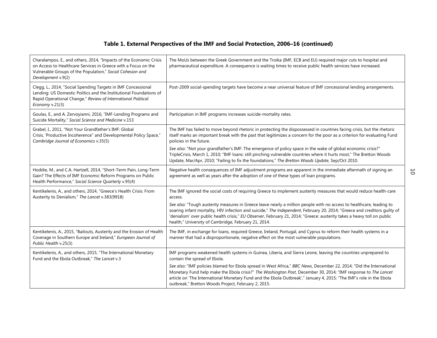|                                                                                                                                                                                                                         | Table 1. External Perspectives of the IMF and Social Protection, 2006-16 (continued)                                                                                                                                                                                                                                                                                                                                                 |
|-------------------------------------------------------------------------------------------------------------------------------------------------------------------------------------------------------------------------|--------------------------------------------------------------------------------------------------------------------------------------------------------------------------------------------------------------------------------------------------------------------------------------------------------------------------------------------------------------------------------------------------------------------------------------|
| Charalampos, E., and others, 2014, "Impacts of the Economic Crisis<br>on Access to Healthcare Services in Greece with a Focus on the<br>Vulnerable Groups of the Population," Social Cohesion and<br>Development v.9(2) | The MoUs between the Greek Government and the Troika (IMF, ECB and EU) required major cuts to hospital and<br>pharmaceutical expenditure. A consequence is waiting times to receive public health services have increased.                                                                                                                                                                                                           |
| Clegg, L., 2014, "Social Spending Targets in IMF Concessional<br>Lending: US Domestic Politics and the Institutional Foundations of<br>Rapid Operational Change," Review of International Political<br>Economy v.21(3)  | Post-2009 social-spending targets have become a near universal feature of IMF concessional lending arrangements.                                                                                                                                                                                                                                                                                                                     |
| Goulas, E., and A. Zervoyianni, 2016, "IMF-Lending Programs and<br>Suicide Mortality," Social Science and Medicine v.153                                                                                                | Participation in IMF programs increases suicide-mortality rates.                                                                                                                                                                                                                                                                                                                                                                     |
| Grabel, I., 2011, "Not Your Grandfather's IMF: Global<br>Crisis, 'Productive Incoherence" and Developmental Policy Space,"<br>Cambridge Journal of Economics v.35(5)                                                    | The IMF has failed to move beyond rhetoric in protecting the dispossessed in countries facing crisis, but the rhetoric<br>itself marks an important break with the past that legitimizes a concern for the poor as a criterion for evaluating Fund<br>policies in the future.                                                                                                                                                        |
|                                                                                                                                                                                                                         | See also: "Not your grandfather's IMF: The emergence of policy space in the wake of global economic crisis?"<br>TripleCrisis, March 1, 2010; "IMF loans: still pinching vulnerable countries where it hurts most," The Bretton Woods<br>Update, Mar/Apr, 2010; "Failing to fix the foundations," The Bretton Woods Update, Sep/Oct 2010.                                                                                             |
| Hoddie, M., and C.A. Hartzell, 2014, "Short-Term Pain, Long-Term<br>Gain? The Effects of IMF Economic Reform Programs on Public<br>Health Performance," Social Science Quarterly v.95(4)                                | Negative health consequences of IMF adjustment programs are apparent in the immediate aftermath of signing an<br>agreement as well as years after the adoption of one of these types of loan programs.                                                                                                                                                                                                                               |
| Kentikelenis, A., and others, 2014, "Greece's Health Crisis: From<br>Austerity to Denialism," The Lancet v.383(9918)                                                                                                    | The IMF ignored the social costs of requiring Greece to implement austerity measures that would reduce health-care<br>access.                                                                                                                                                                                                                                                                                                        |
|                                                                                                                                                                                                                         | See also: "Tough austerity measures in Greece leave nearly a million people with no access to healthcare, leading to<br>soaring infant mortality, HIV infection and suicide," The Independent, February 20, 2014; "Greece and creditors guilty of<br>'denialism' over public health crisis," EU Observer, February 21, 2014; "Greece: austerity takes a heavy toll on public<br>health," University of Cambridge, February 21, 2014. |
| Kentikelenis, A., 2015, "Bailouts, Austerity and the Erosion of Health<br>Coverage in Southern Europe and Ireland," European Journal of<br>Public Health v.25(3)                                                        | The IMF, in exchange for loans, required Greece, Ireland, Portugal, and Cyprus to reform their health systems in a<br>manner that had a disproportionate, negative effect on the most vulnerable populations.                                                                                                                                                                                                                        |
| Kentikelenis, A., and others, 2015, "The International Monetary<br>Fund and the Ebola Outbreak," The Lancet v.3                                                                                                         | IMF programs weakened health systems in Guinea, Liberia, and Sierra Leone, leaving the countries unprepared to<br>contain the spread of Ebola.                                                                                                                                                                                                                                                                                       |
|                                                                                                                                                                                                                         | See also: "IMF policies blamed for Ebola spread in West Africa," BBC News, December 22, 2014; "Did the International<br>Monetary Fund help make the Ebola crisis?" The Washington Post, December 30, 2014; "IMF response to The Lancet<br>article on 'The International Monetary Fund and the Ebola Outbreak'," January 4, 2015; "The IMF's role in the Ebola<br>outbreak," Bretton Woods Project, February 2, 2015.                 |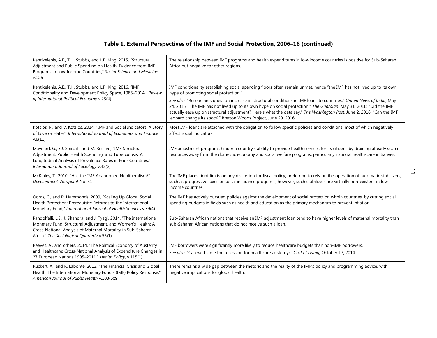|                                                                                                                                                                                                                                                     | Table 1. External Perspectives of the IMF and Social Protection, 2006-16 (continued)                                                                                                                                                                                                                                                                                                                                                                                                                                                                                                                          |
|-----------------------------------------------------------------------------------------------------------------------------------------------------------------------------------------------------------------------------------------------------|---------------------------------------------------------------------------------------------------------------------------------------------------------------------------------------------------------------------------------------------------------------------------------------------------------------------------------------------------------------------------------------------------------------------------------------------------------------------------------------------------------------------------------------------------------------------------------------------------------------|
| Kentikelenis, A.E., T.H. Stubbs, and L.P. King, 2015, "Structural<br>Adjustment and Public Spending on Health: Evidence from IMF<br>Programs in Low-Income Countries," Social Science and Medicine<br>v.126                                         | The relationship between IMF programs and health expenditures in low-income countries is positive for Sub-Saharan<br>Africa but negative for other regions.                                                                                                                                                                                                                                                                                                                                                                                                                                                   |
| Kentikelenis, A.E., T.H. Stubbs, and L.P. King, 2016, "IMF<br>Conditionality and Development Policy Space, 1985-2014," Review<br>of International Political Economy v.23(4)                                                                         | IMF conditionality establishing social spending floors often remain unmet, hence "the IMF has not lived up to its own<br>hype of promoting social protection."<br>See also: "Researchers question increase in structural conditions in IMF loans to countries," United News of India, May<br>24, 2016; "The IMF has not lived up to its own hype on social protection," The Guardian, May 31, 2016; "Did the IMF<br>actually ease up on structural adjustment? Here's what the data say," The Washington Post, June 2, 2016; "Can the IMF<br>leopard change its spots?" Bretton Woods Project, June 29, 2016. |
| Kotsios, P., and V. Kotsios, 2014, "IMF and Social Indicators: A Story<br>of Love or Hate?" International Journal of Economics and Finance<br>v.6(11)                                                                                               | Most IMF loans are attached with the obligation to follow specific policies and conditions, most of which negatively<br>affect social indicators.                                                                                                                                                                                                                                                                                                                                                                                                                                                             |
| Maynard, G., E.J. Shircliff, and M. Restivo, "IMF Structural<br>Adjustment, Public Health Spending, and Tuberculosis: A<br>Longitudinal Analysis of Prevalence Rates in Poor Countries,"<br>International Journal of Sociology v.42(2)              | IMF adjustment programs hinder a country's ability to provide health services for its citizens by draining already scarce<br>resources away from the domestic economy and social welfare programs, particularly national health-care initiatives.                                                                                                                                                                                                                                                                                                                                                             |
| McKinley, T., 2010, "Has the IMF Abandoned Neoliberalism?"<br>Development Viewpoint No. 51                                                                                                                                                          | 旨<br>The IMF places tight limits on any discretion for fiscal policy, preferring to rely on the operation of automatic stabilizers,<br>such as progressive taxes or social insurance programs; however, such stabilizers are virtually non-existent in low-<br>income countries.                                                                                                                                                                                                                                                                                                                              |
| Ooms, G., and R. Hammonds, 2009, "Scaling Up Global Social<br>Health Protection: Prerequisite Reforms to the International<br>Monetary Fund," International Journal of Health Services v.39(4)                                                      | The IMF has actively pursued policies against the development of social protection within countries, by cutting social<br>spending budgets in fields such as health and education as the primary mechanism to prevent inflation.                                                                                                                                                                                                                                                                                                                                                                              |
| Pandolfelli, L.E., J. Shandra, and J. Tyagi, 2014, "The International<br>Monetary Fund, Structural Adjustment, and Women's Health: A<br>Cross-National Analysis of Maternal Mortality in Sub-Saharan<br>Africa," The Sociological Quarterly v.55(1) | Sub-Saharan African nations that receive an IMF adjustment loan tend to have higher levels of maternal mortality than<br>sub-Saharan African nations that do not receive such a loan.                                                                                                                                                                                                                                                                                                                                                                                                                         |
| Reeves, A., and others, 2014, "The Political Economy of Austerity<br>and Healthcare: Cross-National Analysis of Expenditure Changes in<br>27 European Nations 1995-2011," Health Policy, v.115(1)                                                   | IMF borrowers were significantly more likely to reduce healthcare budgets than non-IMF borrowers.<br>See also: "Can we blame the recession for healthcare austerity?" Cost of Living, October 17, 2014.                                                                                                                                                                                                                                                                                                                                                                                                       |
| Ruckert, A., and R. Labonte, 2013, "The Financial Crisis and Global<br>Health: The International Monetary Fund's (IMF) Policy Response,"<br>American Journal of Public Health v.103(6):9                                                            | There remains a wide gap between the rhetoric and the reality of the IMF's policy and programming advice, with<br>negative implications for global health.                                                                                                                                                                                                                                                                                                                                                                                                                                                    |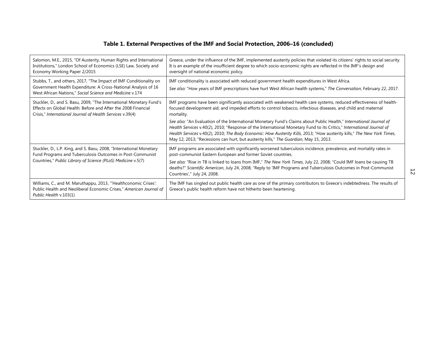|                                                                                                                                                                                                   | Table 1. External Perspectives of the IMF and Social Protection, 2006–16 (concluded)                                                                                                                                                                                                                                                                                                                                                                                                                                                                                                                                                                                                                                  |
|---------------------------------------------------------------------------------------------------------------------------------------------------------------------------------------------------|-----------------------------------------------------------------------------------------------------------------------------------------------------------------------------------------------------------------------------------------------------------------------------------------------------------------------------------------------------------------------------------------------------------------------------------------------------------------------------------------------------------------------------------------------------------------------------------------------------------------------------------------------------------------------------------------------------------------------|
| Salomon, M.E., 2015, "Of Austerity, Human Rights and International<br>Institutions," London School of Economics (LSE) Law, Society and<br>Economy Working Paper 2/2015                            | Greece, under the influence of the IMF, implemented austerity policies that violated its citizens' rights to social security.<br>It is an example of the insufficient degree to which socio-economic rights are reflected in the IMF's design and<br>oversight of national economic policy.                                                                                                                                                                                                                                                                                                                                                                                                                           |
| Stubbs, T., and others, 2017, "The Impact of IMF Conditionality on<br>Government Health Expenditure: A Cross-National Analysis of 16<br>West African Nations," Social Science and Medicine v.174  | IMF conditionality is associated with reduced government health expenditures in West Africa.<br>See also: "How years of IMF prescriptions have hurt West African health systems," The Conversation, February 22, 2017.                                                                                                                                                                                                                                                                                                                                                                                                                                                                                                |
| Stuckler, D., and S. Basu, 2009, "The International Monetary Fund's<br>Effects on Global Health: Before and After the 2008 Financial<br>Crisis," International Journal of Health Services v.39(4) | IMF programs have been significantly associated with weakened health care systems, reduced effectiveness of health-<br>focused development aid, and impeded efforts to control tobacco, infectious diseases, and child and maternal<br>mortality.<br>See also: "An Evaluation of the International Monetary Fund's Claims about Public Health," International Journal of<br>Health Services v.40(2), 2010; "Response of the International Monetary Fund to its Critics," International Journal of<br>Health Services v.40(2), 2010; The Body Economic: How Austerity Kills, 2013; "How austerity kills," The New York Times,<br>May 12, 2013; "Recessions can hurt, but austerity kills," The Guardian, May 15, 2013. |
| Stuckler, D., L.P. King, and S. Basu, 2008, "International Monetary<br>Fund Programs and Tuberculosis Outcomes in Post-Communist<br>Countries," Public Library of Science (PLoS) Medicine v.5(7)  | IMF programs are associated with significantly worsened tuberculosis incidence, prevalence, and mortality rates in<br>post-communist Eastern European and former Soviet countries.<br>See also: "Rise in TB is linked to loans from IMF," The New York Times, July 22, 2008; "Could IMF loans be causing TB<br>deaths?" Scientific American, July 24, 2008; "Reply to 'IMF Programs and Tuberculosis Outcomes in Post-Communist<br>$\overline{5}$<br>Countries'," July 24, 2008.                                                                                                                                                                                                                                      |
| Williams, C., and M. Maruthappu, 2013, "'Healthconomic Crises':<br>Public Health and Neoliberal Economic Crises," American Journal of<br>Public Health v.103(1)                                   | The IMF has singled out public health care as one of the primary contributors to Greece's indebtedness. The results of<br>Greece's public health reform have not hitherto been heartening.                                                                                                                                                                                                                                                                                                                                                                                                                                                                                                                            |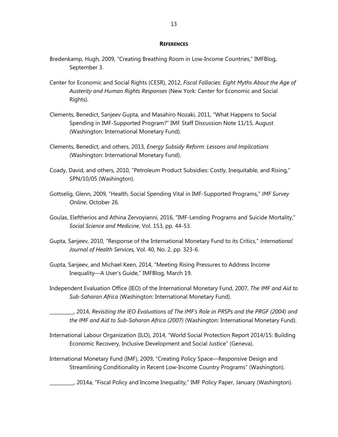### **REFERENCES**

- Bredenkamp, Hugh, 2009, "Creating Breathing Room in Low-Income Countries," IMFBlog, September 3.
- Center for Economic and Social Rights (CESR), 2012, *Fiscal Fallacies: Eight Myths About the Age of Austerity and Human Rights Responses* (New York: Center for Economic and Social Rights).
- Clements, Benedict, Sanjeev Gupta, and Masahiro Nozaki, 2011, "What Happens to Social Spending in IMF-Supported Program?" IMF Staff Discussion Note 11/15, August (Washington: International Monetary Fund).
- Clements, Benedict, and others, 2013, *Energy Subsidy Reform: Lessons and Implications* (Washington: International Monetary Fund).
- Coady, David, and others, 2010, "Petroleum Product Subsidies: Costly, Inequitable, and Rising," SPN/10/05 (Washington).
- Gottselig, Glenn, 2009, "Health, Social Spending Vital in IMF-Supported Programs," *IMF Survey Online*, October 26.
- Goulas, Eleftherios and Athina Zervoyianni, 2016, "IMF-Lending Programs and Suicide Mortality," *Social Science and Medicine*, Vol. 153, pp. 44-53.
- Gupta, Sanjeev, 2010, "Response of the International Monetary Fund to its Critics," *International Journal of Health Services,* Vol. 40, No. 2, pp. 323-6.
- Gupta, Sanjeev, and Michael Keen, 2014, "Meeting Rising Pressures to Address Income Inequality—A User's Guide," IMFBlog, March 19.
- Independent Evaluation Office (IEO) of the International Monetary Fund, 2007, *The IMF and Aid to Sub-Saharan Africa* (Washington: International Monetary Fund).

\_\_\_\_\_\_\_\_\_\_, 2014, *Revisiting the IEO Evaluations of The IMF's Role in PRSPs and the PRGF (2004) and the IMF and Aid to Sub-Saharan Africa (2007)* (Washington: International Monetary Fund).

- International Labour Organization (ILO), 2014, "World Social Protection Report 2014/15: Building Economic Recovery, Inclusive Development and Social Justice" (Geneva).
- International Monetary Fund (IMF), 2009, "Creating Policy Space—Responsive Design and Streamlining Conditionality in Recent Low-Income Country Programs" (Washington).
	- \_\_\_\_\_\_\_\_\_\_, 2014a, "Fiscal Policy and Income Inequality," IMF Policy Paper, January (Washington).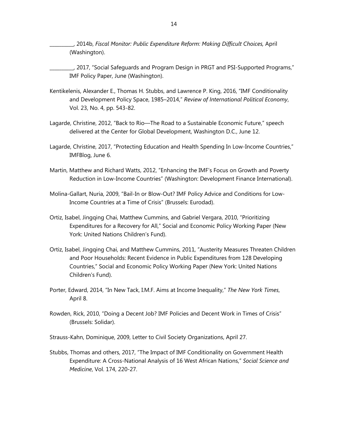\_\_\_\_\_\_\_\_\_\_, 2014b, *Fiscal Monitor: Public Expenditure Reform: Making Difficult Choices,* April (Washington).

\_\_\_\_\_\_\_\_\_\_, 2017, "Social Safeguards and Program Design in PRGT and PSI-Supported Programs," IMF Policy Paper, June (Washington).

- Kentikelenis, Alexander E., Thomas H. Stubbs, and Lawrence P. King, 2016, "IMF Conditionality and Development Policy Space, 1985–2014," *Review of International Political Economy*, Vol. 23, No. 4, pp. 543-82.
- Lagarde, Christine, 2012, "Back to Rio—The Road to a Sustainable Economic Future," speech delivered at the Center for Global Development, Washington D.C., June 12.
- Lagarde, Christine, 2017, "Protecting Education and Health Spending In Low-Income Countries," IMFBlog, June 6.
- Martin, Matthew and Richard Watts, 2012, "Enhancing the IMF's Focus on Growth and Poverty Reduction in Low-Income Countries" (Washington: Development Finance International).
- Molina-Gallart, Nuria, 2009, "Bail-In or Blow-Out? IMF Policy Advice and Conditions for Low-Income Countries at a Time of Crisis" (Brussels: Eurodad).
- Ortiz, Isabel, Jingqing Chai, Matthew Cummins, and Gabriel Vergara, 2010, "Prioritizing Expenditures for a Recovery for All," Social and Economic Policy Working Paper (New York: United Nations Children's Fund).
- Ortiz, Isabel, Jingqing Chai, and Matthew Cummins, 2011, "Austerity Measures Threaten Children and Poor Households: Recent Evidence in Public Expenditures from 128 Developing Countries," Social and Economic Policy Working Paper (New York: United Nations Children's Fund).
- Porter, Edward, 2014, "In New Tack, I.M.F. Aims at Income Inequality," *The New York Times*, April 8.
- Rowden, Rick, 2010, "Doing a Decent Job? IMF Policies and Decent Work in Times of Crisis" (Brussels: Solidar).

Strauss-Kahn, Dominique, 2009, Letter to Civil Society Organizations, April 27.

Stubbs, Thomas and others, 2017, "The Impact of IMF Conditionality on Government Health Expenditure: A Cross-National Analysis of 16 West African Nations," *Social Science and Medicine*, Vol. 174, 220-27.